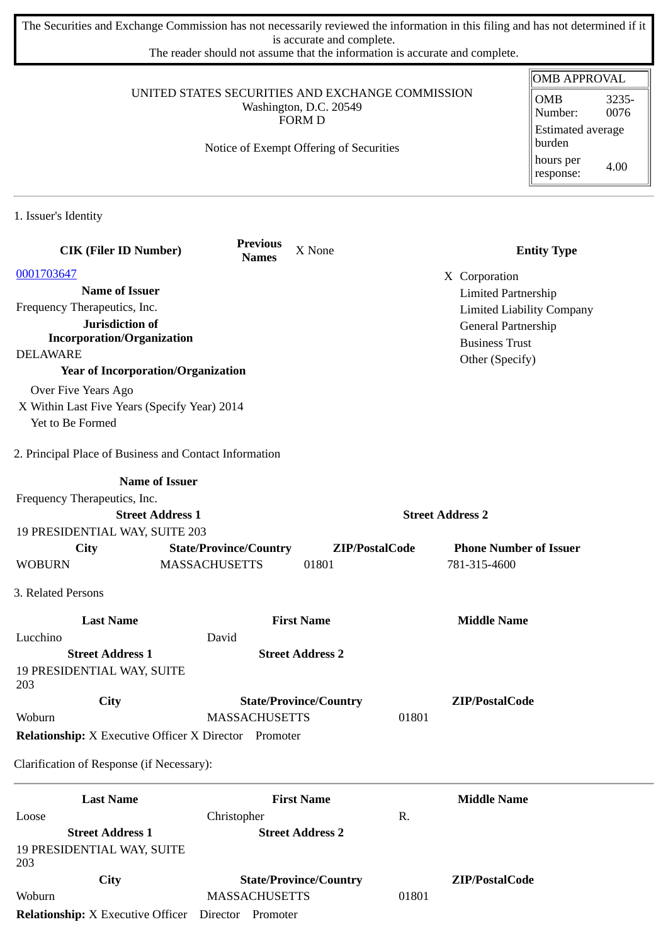The Securities and Exchange Commission has not necessarily reviewed the information in this filing and has not determined if it is accurate and complete.

The reader should not assume that the information is accurate and complete.

|                                                                                             |                                           |                                 |                                         |                |                               | <b>OMB APPROVAL</b>                        |               |
|---------------------------------------------------------------------------------------------|-------------------------------------------|---------------------------------|-----------------------------------------|----------------|-------------------------------|--------------------------------------------|---------------|
| UNITED STATES SECURITIES AND EXCHANGE COMMISSION<br>Washington, D.C. 20549<br><b>FORM D</b> |                                           |                                 |                                         |                |                               | <b>OMB</b><br>Number:<br>Estimated average | 3235-<br>0076 |
|                                                                                             |                                           |                                 | Notice of Exempt Offering of Securities |                |                               | burden<br>hours per<br>response:           | 4.00          |
| 1. Issuer's Identity                                                                        |                                           |                                 |                                         |                |                               |                                            |               |
| <b>CIK (Filer ID Number)</b>                                                                |                                           | <b>Previous</b><br><b>Names</b> | X None                                  |                |                               | <b>Entity Type</b>                         |               |
| 0001703647                                                                                  |                                           |                                 |                                         |                | X Corporation                 |                                            |               |
| <b>Name of Issuer</b>                                                                       |                                           |                                 |                                         |                | <b>Limited Partnership</b>    |                                            |               |
| Frequency Therapeutics, Inc.                                                                |                                           |                                 |                                         |                |                               | <b>Limited Liability Company</b>           |               |
| Jurisdiction of                                                                             |                                           |                                 |                                         |                | General Partnership           |                                            |               |
| <b>Incorporation/Organization</b>                                                           |                                           |                                 |                                         |                | <b>Business Trust</b>         |                                            |               |
| <b>DELAWARE</b>                                                                             |                                           |                                 |                                         |                | Other (Specify)               |                                            |               |
|                                                                                             | <b>Year of Incorporation/Organization</b> |                                 |                                         |                |                               |                                            |               |
| Over Five Years Ago                                                                         |                                           |                                 |                                         |                |                               |                                            |               |
| X Within Last Five Years (Specify Year) 2014<br>Yet to Be Formed                            |                                           |                                 |                                         |                |                               |                                            |               |
| 2. Principal Place of Business and Contact Information                                      |                                           |                                 |                                         |                |                               |                                            |               |
|                                                                                             | <b>Name of Issuer</b>                     |                                 |                                         |                |                               |                                            |               |
| Frequency Therapeutics, Inc.                                                                |                                           |                                 |                                         |                |                               |                                            |               |
|                                                                                             | <b>Street Address 1</b>                   |                                 |                                         |                | <b>Street Address 2</b>       |                                            |               |
| 19 PRESIDENTIAL WAY, SUITE 203                                                              |                                           |                                 |                                         |                |                               |                                            |               |
| City                                                                                        | <b>State/Province/Country</b>             |                                 |                                         | ZIP/PostalCode | <b>Phone Number of Issuer</b> |                                            |               |
| <b>WOBURN</b>                                                                               | <b>MASSACHUSETTS</b>                      |                                 | 01801                                   |                | 781-315-4600                  |                                            |               |
| 3. Related Persons                                                                          |                                           |                                 |                                         |                |                               |                                            |               |
| <b>Last Name</b>                                                                            |                                           |                                 | <b>First Name</b>                       |                | <b>Middle Name</b>            |                                            |               |
| Lucchino                                                                                    | David                                     |                                 |                                         |                |                               |                                            |               |
| <b>Street Address 1</b><br>19 PRESIDENTIAL WAY, SUITE<br>203                                |                                           |                                 | <b>Street Address 2</b>                 |                |                               |                                            |               |
| City                                                                                        |                                           |                                 | <b>State/Province/Country</b>           |                | ZIP/PostalCode                |                                            |               |
| Woburn                                                                                      |                                           | <b>MASSACHUSETTS</b>            |                                         | 01801          |                               |                                            |               |
| <b>Relationship:</b> X Executive Officer X Director Promoter                                |                                           |                                 |                                         |                |                               |                                            |               |
| Clarification of Response (if Necessary):                                                   |                                           |                                 |                                         |                |                               |                                            |               |
| <b>Last Name</b>                                                                            |                                           |                                 | <b>First Name</b>                       |                | <b>Middle Name</b>            |                                            |               |
| Loose                                                                                       | Christopher                               |                                 |                                         | R.             |                               |                                            |               |
| <b>Street Address 1</b>                                                                     |                                           |                                 | <b>Street Address 2</b>                 |                |                               |                                            |               |
| 19 PRESIDENTIAL WAY, SUITE<br>203                                                           |                                           |                                 |                                         |                |                               |                                            |               |
| City                                                                                        |                                           |                                 | <b>State/Province/Country</b>           |                | ZIP/PostalCode                |                                            |               |
| Woburn                                                                                      |                                           | <b>MASSACHUSETTS</b>            |                                         | 01801          |                               |                                            |               |

**Relationship:** X Executive Officer Director Promoter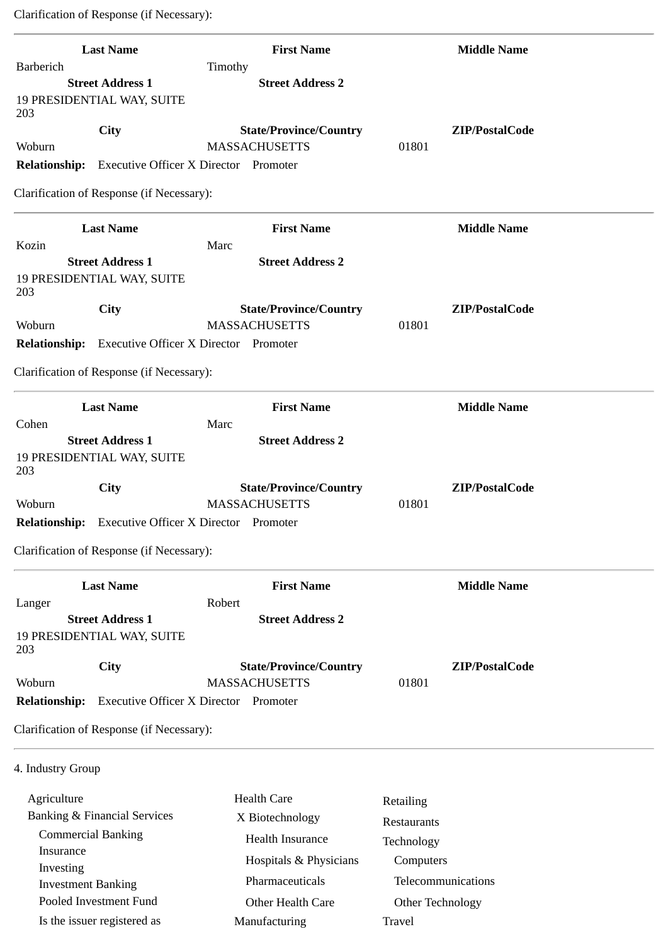Clarification of Response (if Necessary):

 Pooled Investment Fund Is the issuer registered as

| <b>Last Name</b><br><b>Barberich</b>                | <b>First Name</b><br>Timothy                 | <b>Middle Name</b> |
|-----------------------------------------------------|----------------------------------------------|--------------------|
| <b>Street Address 1</b>                             | <b>Street Address 2</b>                      |                    |
| 19 PRESIDENTIAL WAY, SUITE<br>203                   |                                              |                    |
| City                                                | <b>State/Province/Country</b>                | ZIP/PostalCode     |
| Woburn                                              | <b>MASSACHUSETTS</b>                         | 01801              |
| Relationship: Executive Officer X Director Promoter |                                              |                    |
| Clarification of Response (if Necessary):           |                                              |                    |
| <b>Last Name</b>                                    | <b>First Name</b>                            | <b>Middle Name</b> |
| Kozin                                               | Marc                                         |                    |
| <b>Street Address 1</b>                             | <b>Street Address 2</b>                      |                    |
| 19 PRESIDENTIAL WAY, SUITE<br>203                   |                                              |                    |
| City                                                | <b>State/Province/Country</b>                | ZIP/PostalCode     |
| Woburn                                              | <b>MASSACHUSETTS</b>                         | 01801              |
| <b>Relationship:</b>                                | <b>Executive Officer X Director Promoter</b> |                    |
| Clarification of Response (if Necessary):           |                                              |                    |
| <b>Last Name</b>                                    | <b>First Name</b>                            | <b>Middle Name</b> |
| Cohen                                               | Marc                                         |                    |
| <b>Street Address 1</b>                             | <b>Street Address 2</b>                      |                    |
| 19 PRESIDENTIAL WAY, SUITE<br>203                   |                                              |                    |
| City                                                | <b>State/Province/Country</b>                | ZIP/PostalCode     |
| Woburn                                              | <b>MASSACHUSETTS</b>                         | 01801              |
| <b>Relationship:</b>                                | <b>Executive Officer X Director Promoter</b> |                    |
| Clarification of Response (if Necessary):           |                                              |                    |
| <b>Last Name</b>                                    | <b>First Name</b>                            | <b>Middle Name</b> |
| Langer                                              | Robert                                       |                    |
| <b>Street Address 1</b>                             | <b>Street Address 2</b>                      |                    |
| 19 PRESIDENTIAL WAY, SUITE<br>203                   |                                              |                    |
| City                                                | <b>State/Province/Country</b>                | ZIP/PostalCode     |
| Woburn                                              | <b>MASSACHUSETTS</b>                         | 01801              |
| <b>Relationship:</b>                                | <b>Executive Officer X Director Promoter</b> |                    |
| Clarification of Response (if Necessary):           |                                              |                    |
| 4. Industry Group                                   |                                              |                    |
| Agriculture                                         | <b>Health Care</b>                           | Retailing          |
| <b>Banking &amp; Financial Services</b>             | X Biotechnology                              |                    |
| <b>Commercial Banking</b>                           | <b>Health Insurance</b>                      | Restaurants        |
| Insurance                                           |                                              | Technology         |
| Investing                                           | Hospitals & Physicians                       | Computers          |
| <b>Investment Banking</b>                           | Pharmaceuticals                              | Telecommunications |

Other Health Care

Other Technology

Travel

Manufacturing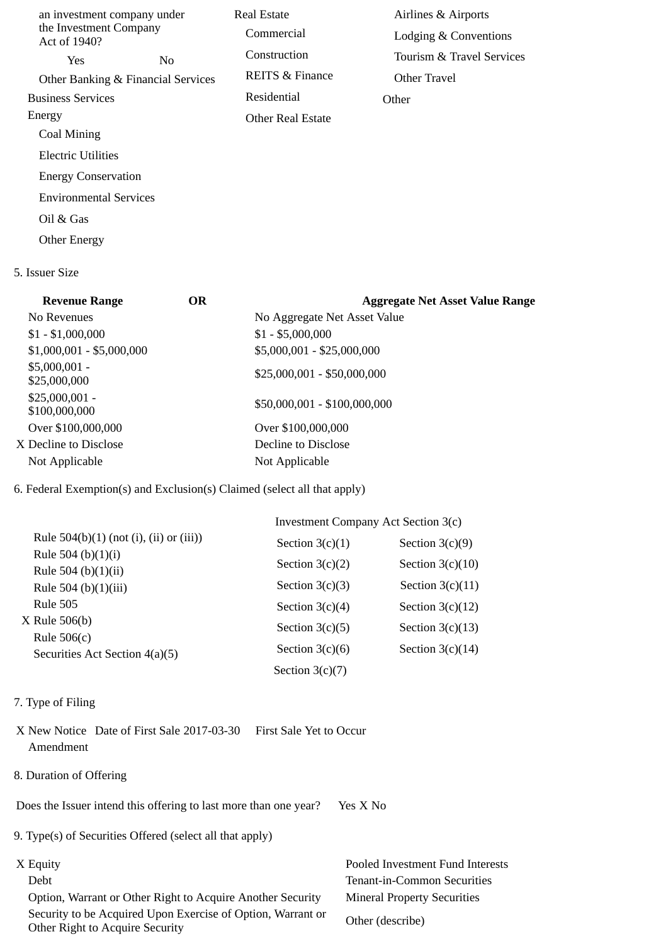| an investment company under<br>the Investment Company<br>Act of 1940? |                                    | <b>Real Estate</b>         | Airlines & Airports       |
|-----------------------------------------------------------------------|------------------------------------|----------------------------|---------------------------|
|                                                                       |                                    | Commercial                 | Lodging & Conventions     |
| Yes.                                                                  | N <sub>0</sub>                     | Construction               | Tourism & Travel Services |
|                                                                       | Other Banking & Financial Services | <b>REITS &amp; Finance</b> | Other Travel              |
| <b>Business Services</b>                                              |                                    | Residential                | Other                     |
| Energy                                                                |                                    | <b>Other Real Estate</b>   |                           |
| Coal Mining                                                           |                                    |                            |                           |
| Electric Utilities                                                    |                                    |                            |                           |
| <b>Energy Conservation</b>                                            |                                    |                            |                           |
| <b>Environmental Services</b>                                         |                                    |                            |                           |
| Oil & Gas                                                             |                                    |                            |                           |
| <b>Other Energy</b>                                                   |                                    |                            |                           |

## 5. Issuer Size

| <b>Revenue Range</b>             | <b>OR</b> | <b>Aggregate Net Asset Value Range</b> |
|----------------------------------|-----------|----------------------------------------|
| No Revenues                      |           | No Aggregate Net Asset Value           |
| $$1 - $1,000,000$                |           | $$1 - $5,000,000$                      |
| $$1,000,001 - $5,000,000$        |           | \$5,000,001 - \$25,000,000             |
| $$5,000,001 -$<br>\$25,000,000   |           | $$25,000,001 - $50,000,000$            |
| $$25,000,001 -$<br>\$100,000,000 |           | \$50,000,001 - \$100,000,000           |
| Over \$100,000,000               |           | Over \$100,000,000                     |
| X Decline to Disclose            |           | Decline to Disclose                    |
| Not Applicable                   |           | Not Applicable                         |

# 6. Federal Exemption(s) and Exclusion(s) Claimed (select all that apply)

|                                                 | <b>Investment Company Act Section 3(c)</b> |                    |  |  |
|-------------------------------------------------|--------------------------------------------|--------------------|--|--|
| Rule $504(b)(1)$ (not (i), (ii) or (iii))       | Section $3(c)(1)$                          | Section $3(c)(9)$  |  |  |
| Rule 504 (b) $(1)(i)$<br>Rule 504 (b) $(1)(ii)$ | Section $3(c)(2)$                          | Section $3(c)(10)$ |  |  |
| Rule 504 (b) $(1)(iii)$                         | Section $3(c)(3)$                          | Section $3(c)(11)$ |  |  |
| Rule 505                                        | Section $3(c)(4)$                          | Section $3(c)(12)$ |  |  |
| X Rule 506(b)                                   | Section $3(c)(5)$                          | Section $3(c)(13)$ |  |  |
| Rule $506(c)$<br>Securities Act Section 4(a)(5) | Section $3(c)(6)$                          | Section $3(c)(14)$ |  |  |
|                                                 | Section $3(c)(7)$                          |                    |  |  |

# 7. Type of Filing

X New Notice Date of First Sale 2017-03-30 First Sale Yet to Occur Amendment

# 8. Duration of Offering

Does the Issuer intend this offering to last more than one year? Yes X No

9. Type(s) of Securities Offered (select all that apply)

 Option, Warrant or Other Right to Acquire Another Security Mineral Property Securities Security to be Acquired Upon Exercise of Option, Warrant or Security to be Acquired Upon Exercise of Option, warrant or Other (describe)<br>Other Right to Acquire Security

X Equity Pooled Investment Fund Interests Debt Tenant-in-Common Securities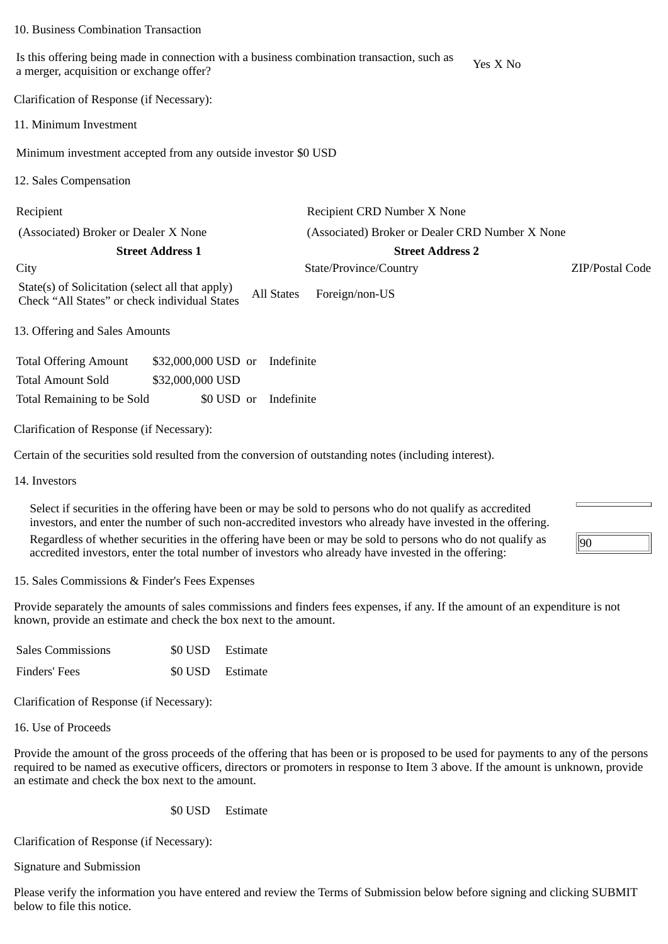## 10. Business Combination Transaction

Is this offering being made in connection with a business combination transaction, such as is this offering being made in connection with a business combination transaction, such as  $Y$ es X No a merger, acquisition or exchange offer?

Clarification of Response (if Necessary):

11. Minimum Investment

Minimum investment accepted from any outside investor \$0 USD

12. Sales Compensation

| Recipient                                                                                         |                                                 | Recipient CRD Number X None |                 |
|---------------------------------------------------------------------------------------------------|-------------------------------------------------|-----------------------------|-----------------|
| (Associated) Broker or Dealer X None                                                              | (Associated) Broker or Dealer CRD Number X None |                             |                 |
| <b>Street Address 1</b>                                                                           |                                                 | <b>Street Address 2</b>     |                 |
| City                                                                                              |                                                 | State/Province/Country      | ZIP/Postal Code |
| State(s) of Solicitation (select all that apply)<br>Check "All States" or check individual States | All States                                      | Foreign/non-US              |                 |

13. Offering and Sales Amounts

| <b>Total Offering Amount</b> | \$32,000,000 USD or Indefinite |                       |
|------------------------------|--------------------------------|-----------------------|
| <b>Total Amount Sold</b>     | \$32,000,000 USD               |                       |
| Total Remaining to be Sold   |                                | \$0 USD or Indefinite |

Clarification of Response (if Necessary):

Certain of the securities sold resulted from the conversion of outstanding notes (including interest).

14. Investors

Select if securities in the offering have been or may be sold to persons who do not qualify as accredited investors, and enter the number of such non-accredited investors who already have invested in the offering. Regardless of whether securities in the offering have been or may be sold to persons who do not qualify as

accredited investors, enter the total number of investors who already have invested in the offering:

15. Sales Commissions & Finder's Fees Expenses

Provide separately the amounts of sales commissions and finders fees expenses, if any. If the amount of an expenditure is not known, provide an estimate and check the box next to the amount.

| <b>Sales Commissions</b> | \$0 USD Estimate |
|--------------------------|------------------|
| Finders' Fees            | \$0 USD Estimate |

Clarification of Response (if Necessary):

16. Use of Proceeds

Provide the amount of the gross proceeds of the offering that has been or is proposed to be used for payments to any of the persons required to be named as executive officers, directors or promoters in response to Item 3 above. If the amount is unknown, provide an estimate and check the box next to the amount.

## \$0 USD Estimate

Clarification of Response (if Necessary):

Signature and Submission

Please verify the information you have entered and review the Terms of Submission below before signing and clicking SUBMIT below to file this notice.

# 90